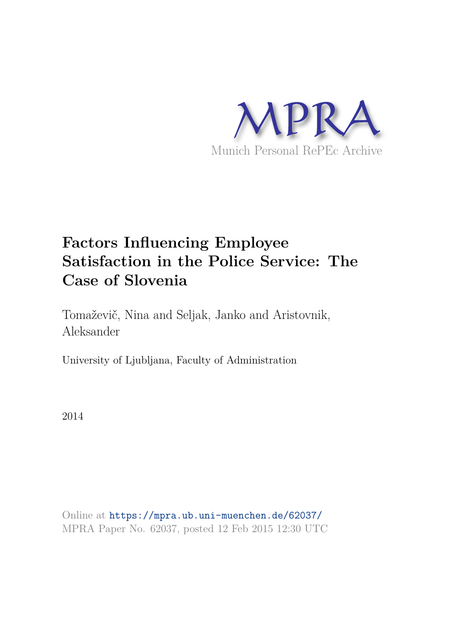

# **Factors Influencing Employee Satisfaction in the Police Service: The Case of Slovenia**

Tomaževič, Nina and Seljak, Janko and Aristovnik, Aleksander

University of Ljubljana, Faculty of Administration

2014

Online at https://mpra.ub.uni-muenchen.de/62037/ MPRA Paper No. 62037, posted 12 Feb 2015 12:30 UTC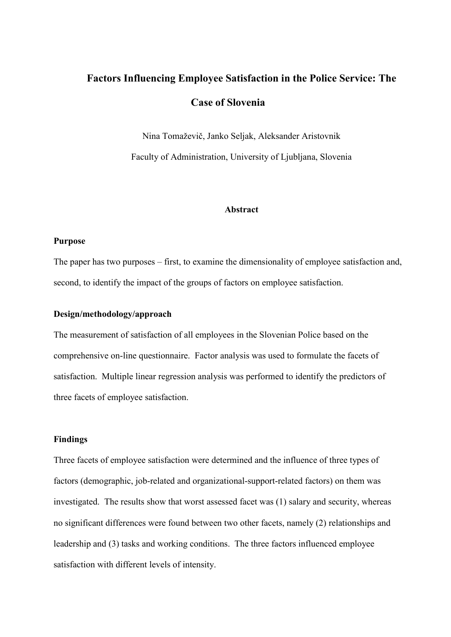## **Factors Influencing Employee Satisfaction in the Police Service: The Case of Slovenia**

Nina Tomaževič, Janko Seljak, Aleksander Aristovnik

Faculty of Administration, University of Ljubljana, Slovenia

## **Abstract**

## **Purpose**

The paper has two purposes – first, to examine the dimensionality of employee satisfaction and, second, to identify the impact of the groups of factors on employee satisfaction.

#### **Design/methodology/approach**

The measurement of satisfaction of all employees in the Slovenian Police based on the comprehensive on-line questionnaire. Factor analysis was used to formulate the facets of satisfaction. Multiple linear regression analysis was performed to identify the predictors of three facets of employee satisfaction.

### **Findings**

Three facets of employee satisfaction were determined and the influence of three types of factors (demographic, job-related and organizational-support-related factors) on them was investigated. The results show that worst assessed facet was (1) salary and security, whereas no significant differences were found between two other facets, namely (2) relationships and leadership and (3) tasks and working conditions. The three factors influenced employee satisfaction with different levels of intensity.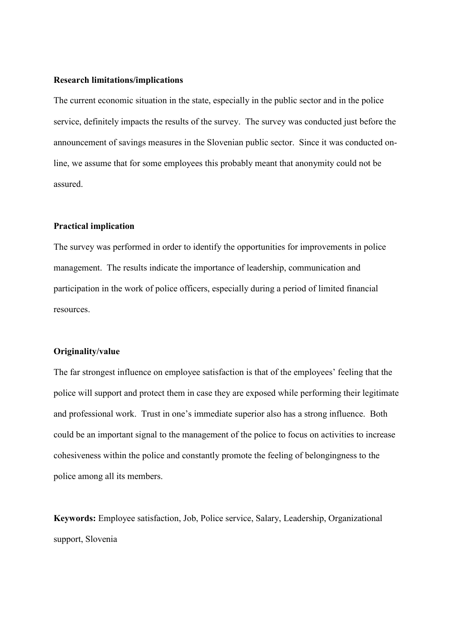## **Research limitations/implications**

The current economic situation in the state, especially in the public sector and in the police service, definitely impacts the results of the survey. The survey was conducted just before the announcement of savings measures in the Slovenian public sector. Since it was conducted online, we assume that for some employees this probably meant that anonymity could not be assured.

#### **Practical implication**

The survey was performed in order to identify the opportunities for improvements in police management. The results indicate the importance of leadership, communication and participation in the work of police officers, especially during a period of limited financial resources.

## **Originality/value**

The far strongest influence on employee satisfaction is that of the employees' feeling that the police will support and protect them in case they are exposed while performing their legitimate and professional work. Trust in one's immediate superior also has a strong influence. Both could be an important signal to the management of the police to focus on activities to increase cohesiveness within the police and constantly promote the feeling of belongingness to the police among all its members.

**Keywords:** Employee satisfaction, Job, Police service, Salary, Leadership, Organizational support, Slovenia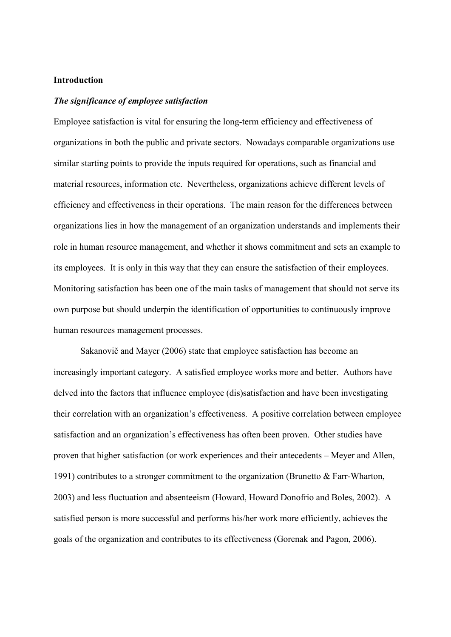## **Introduction**

#### *The significance of employee satisfaction*

Employee satisfaction is vital for ensuring the long-term efficiency and effectiveness of organizations in both the public and private sectors. Nowadays comparable organizations use similar starting points to provide the inputs required for operations, such as financial and material resources, information etc. Nevertheless, organizations achieve different levels of efficiency and effectiveness in their operations. The main reason for the differences between organizations lies in how the management of an organization understands and implements their role in human resource management, and whether it shows commitment and sets an example to its employees. It is only in this way that they can ensure the satisfaction of their employees. Monitoring satisfaction has been one of the main tasks of management that should not serve its own purpose but should underpin the identification of opportunities to continuously improve human resources management processes.

Sakanovič and Mayer (2006) state that employee satisfaction has become an increasingly important category. A satisfied employee works more and better. Authors have delved into the factors that influence employee (dis)satisfaction and have been investigating their correlation with an organization's effectiveness. A positive correlation between employee satisfaction and an organization's effectiveness has often been proven. Other studies have proven that higher satisfaction (or work experiences and their antecedents – Meyer and Allen, 1991) contributes to a stronger commitment to the organization (Brunetto & Farr-Wharton, 2003) and less fluctuation and absenteeism (Howard, Howard Donofrio and Boles, 2002). A satisfied person is more successful and performs his/her work more efficiently, achieves the goals of the organization and contributes to its effectiveness (Gorenak and Pagon, 2006).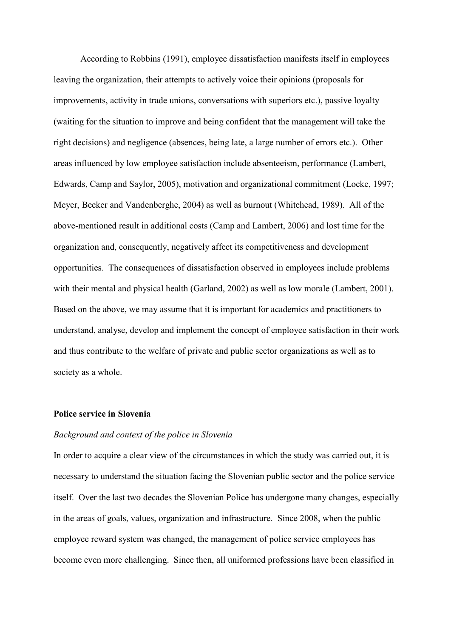According to Robbins (1991), employee dissatisfaction manifests itself in employees leaving the organization, their attempts to actively voice their opinions (proposals for improvements, activity in trade unions, conversations with superiors etc.), passive loyalty (waiting for the situation to improve and being confident that the management will take the right decisions) and negligence (absences, being late, a large number of errors etc.). Other areas influenced by low employee satisfaction include absenteeism, performance (Lambert, Edwards, Camp and Saylor, 2005), motivation and organizational commitment (Locke, 1997; Meyer, Becker and Vandenberghe, 2004) as well as burnout (Whitehead, 1989). All of the above-mentioned result in additional costs (Camp and Lambert, 2006) and lost time for the organization and, consequently, negatively affect its competitiveness and development opportunities. The consequences of dissatisfaction observed in employees include problems with their mental and physical health (Garland, 2002) as well as low morale (Lambert, 2001). Based on the above, we may assume that it is important for academics and practitioners to understand, analyse, develop and implement the concept of employee satisfaction in their work and thus contribute to the welfare of private and public sector organizations as well as to society as a whole.

#### **Police service in Slovenia**

## *Background and context of the police in Slovenia*

In order to acquire a clear view of the circumstances in which the study was carried out, it is necessary to understand the situation facing the Slovenian public sector and the police service itself. Over the last two decades the Slovenian Police has undergone many changes, especially in the areas of goals, values, organization and infrastructure. Since 2008, when the public employee reward system was changed, the management of police service employees has become even more challenging. Since then, all uniformed professions have been classified in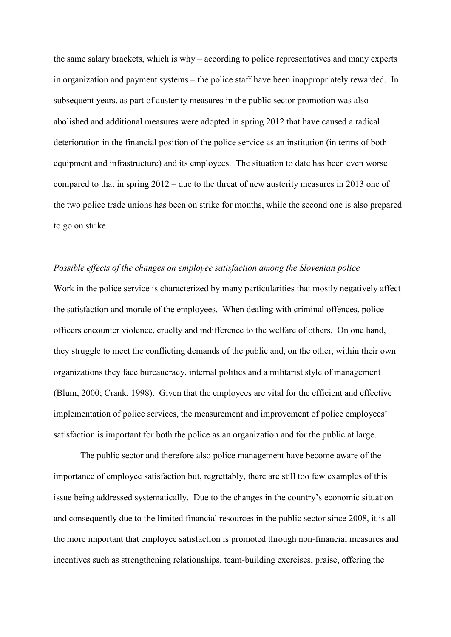the same salary brackets, which is why – according to police representatives and many experts in organization and payment systems – the police staff have been inappropriately rewarded. In subsequent years, as part of austerity measures in the public sector promotion was also abolished and additional measures were adopted in spring 2012 that have caused a radical deterioration in the financial position of the police service as an institution (in terms of both equipment and infrastructure) and its employees. The situation to date has been even worse compared to that in spring 2012 – due to the threat of new austerity measures in 2013 one of the two police trade unions has been on strike for months, while the second one is also prepared to go on strike.

### *Possible effects of the changes on employee satisfaction among the Slovenian police*

Work in the police service is characterized by many particularities that mostly negatively affect the satisfaction and morale of the employees. When dealing with criminal offences, police officers encounter violence, cruelty and indifference to the welfare of others. On one hand, they struggle to meet the conflicting demands of the public and, on the other, within their own organizations they face bureaucracy, internal politics and a militarist style of management (Blum, 2000; Crank, 1998). Given that the employees are vital for the efficient and effective implementation of police services, the measurement and improvement of police employees' satisfaction is important for both the police as an organization and for the public at large.

The public sector and therefore also police management have become aware of the importance of employee satisfaction but, regrettably, there are still too few examples of this issue being addressed systematically. Due to the changes in the country's economic situation and consequently due to the limited financial resources in the public sector since 2008, it is all the more important that employee satisfaction is promoted through non-financial measures and incentives such as strengthening relationships, team-building exercises, praise, offering the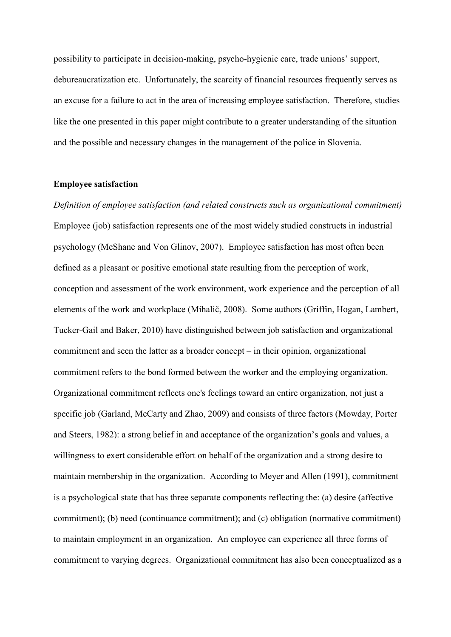possibility to participate in decision-making, psycho-hygienic care, trade unions' support, debureaucratization etc. Unfortunately, the scarcity of financial resources frequently serves as an excuse for a failure to act in the area of increasing employee satisfaction. Therefore, studies like the one presented in this paper might contribute to a greater understanding of the situation and the possible and necessary changes in the management of the police in Slovenia.

#### **Employee satisfaction**

*Definition of employee satisfaction (and related constructs such as organizational commitment)*  Employee (job) satisfaction represents one of the most widely studied constructs in industrial psychology (McShane and Von Glinov, 2007). Employee satisfaction has most often been defined as a pleasant or positive emotional state resulting from the perception of work, conception and assessment of the work environment, work experience and the perception of all elements of the work and workplace (Mihalič, 2008). Some authors (Griffin, Hogan, Lambert, Tucker-Gail and Baker, 2010) have distinguished between job satisfaction and organizational commitment and seen the latter as a broader concept – in their opinion, organizational commitment refers to the bond formed between the worker and the employing organization. Organizational commitment reflects one's feelings toward an entire organization, not just a specific job (Garland, McCarty and Zhao, 2009) and consists of three factors (Mowday, Porter and Steers, 1982): a strong belief in and acceptance of the organization's goals and values, a willingness to exert considerable effort on behalf of the organization and a strong desire to maintain membership in the organization. According to Meyer and Allen (1991), commitment is a psychological state that has three separate components reflecting the: (a) desire (affective commitment); (b) need (continuance commitment); and (c) obligation (normative commitment) to maintain employment in an organization. An employee can experience all three forms of commitment to varying degrees. Organizational commitment has also been conceptualized as a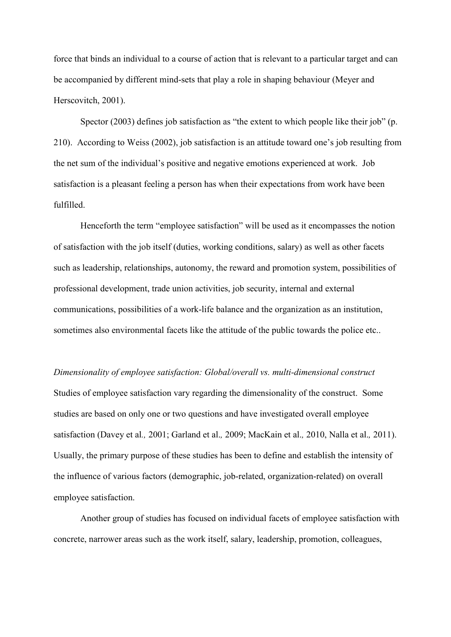force that binds an individual to a course of action that is relevant to a particular target and can be accompanied by different mind-sets that play a role in shaping behaviour (Meyer and Herscovitch, 2001).

Spector (2003) defines job satisfaction as "the extent to which people like their job" (p. 210). According to Weiss (2002), job satisfaction is an attitude toward one's job resulting from the net sum of the individual's positive and negative emotions experienced at work. Job satisfaction is a pleasant feeling a person has when their expectations from work have been fulfilled.

Henceforth the term "employee satisfaction" will be used as it encompasses the notion of satisfaction with the job itself (duties, working conditions, salary) as well as other facets such as leadership, relationships, autonomy, the reward and promotion system, possibilities of professional development, trade union activities, job security, internal and external communications, possibilities of a work-life balance and the organization as an institution, sometimes also environmental facets like the attitude of the public towards the police etc..

*Dimensionality of employee satisfaction: Global/overall vs. multi-dimensional construct*  Studies of employee satisfaction vary regarding the dimensionality of the construct. Some studies are based on only one or two questions and have investigated overall employee satisfaction (Davey et al*.,* 2001; Garland et al.*,* 2009; MacKain et al.*,* 2010, Nalla et al.*,* 2011). Usually, the primary purpose of these studies has been to define and establish the intensity of the influence of various factors (demographic, job-related, organization-related) on overall employee satisfaction.

Another group of studies has focused on individual facets of employee satisfaction with concrete, narrower areas such as the work itself, salary, leadership, promotion, colleagues,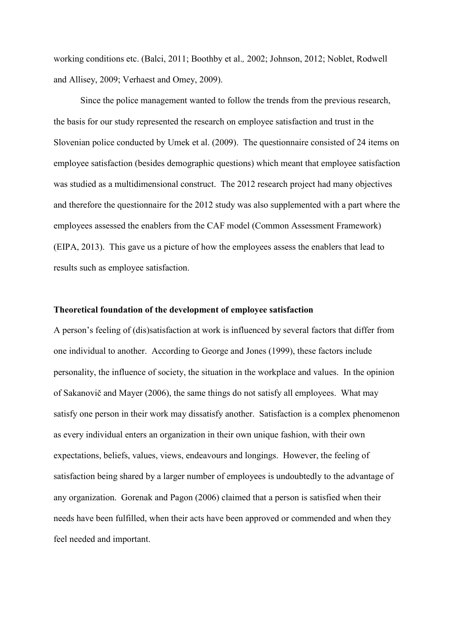working conditions etc. (Balci, 2011; Boothby et al.*,* 2002; Johnson, 2012; Noblet, Rodwell and Allisey, 2009; Verhaest and Omey, 2009).

Since the police management wanted to follow the trends from the previous research, the basis for our study represented the research on employee satisfaction and trust in the Slovenian police conducted by Umek et al. (2009). The questionnaire consisted of 24 items on employee satisfaction (besides demographic questions) which meant that employee satisfaction was studied as a multidimensional construct. The 2012 research project had many objectives and therefore the questionnaire for the 2012 study was also supplemented with a part where the employees assessed the enablers from the CAF model (Common Assessment Framework) (EIPA, 2013). This gave us a picture of how the employees assess the enablers that lead to results such as employee satisfaction.

#### **Theoretical foundation of the development of employee satisfaction**

A person's feeling of (dis)satisfaction at work is influenced by several factors that differ from one individual to another. According to George and Jones (1999), these factors include personality, the influence of society, the situation in the workplace and values. In the opinion of Sakanovič and Mayer (2006), the same things do not satisfy all employees. What may satisfy one person in their work may dissatisfy another. Satisfaction is a complex phenomenon as every individual enters an organization in their own unique fashion, with their own expectations, beliefs, values, views, endeavours and longings. However, the feeling of satisfaction being shared by a larger number of employees is undoubtedly to the advantage of any organization. Gorenak and Pagon (2006) claimed that a person is satisfied when their needs have been fulfilled, when their acts have been approved or commended and when they feel needed and important.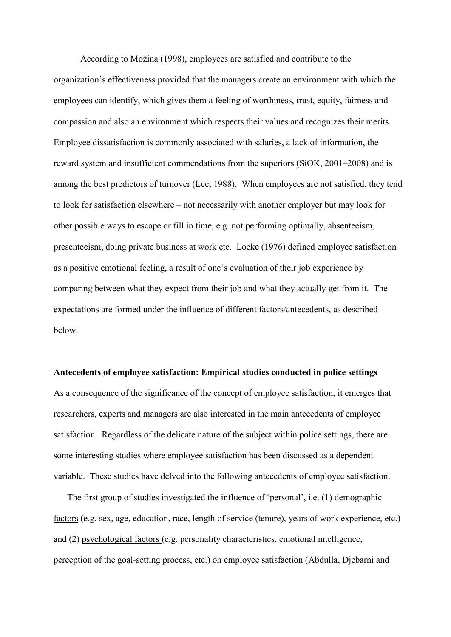According to Možina (1998), employees are satisfied and contribute to the organization's effectiveness provided that the managers create an environment with which the employees can identify, which gives them a feeling of worthiness, trust, equity, fairness and compassion and also an environment which respects their values and recognizes their merits. Employee dissatisfaction is commonly associated with salaries, a lack of information, the reward system and insufficient commendations from the superiors (SiOK, 2001–2008) and is among the best predictors of turnover (Lee, 1988). When employees are not satisfied, they tend to look for satisfaction elsewhere – not necessarily with another employer but may look for other possible ways to escape or fill in time, e.g. not performing optimally, absenteeism, presenteeism, doing private business at work etc. Locke (1976) defined employee satisfaction as a positive emotional feeling, a result of one's evaluation of their job experience by comparing between what they expect from their job and what they actually get from it. The expectations are formed under the influence of different factors/antecedents, as described below.

#### **Antecedents of employee satisfaction: Empirical studies conducted in police settings**

As a consequence of the significance of the concept of employee satisfaction, it emerges that researchers, experts and managers are also interested in the main antecedents of employee satisfaction. Regardless of the delicate nature of the subject within police settings, there are some interesting studies where employee satisfaction has been discussed as a dependent variable. These studies have delved into the following antecedents of employee satisfaction.

The first group of studies investigated the influence of 'personal', i.e. (1) demographic factors (e.g. sex, age, education, race, length of service (tenure), years of work experience, etc.) and (2) psychological factors (e.g. personality characteristics, emotional intelligence, perception of the goal-setting process, etc.) on employee satisfaction (Abdulla, Djebarni and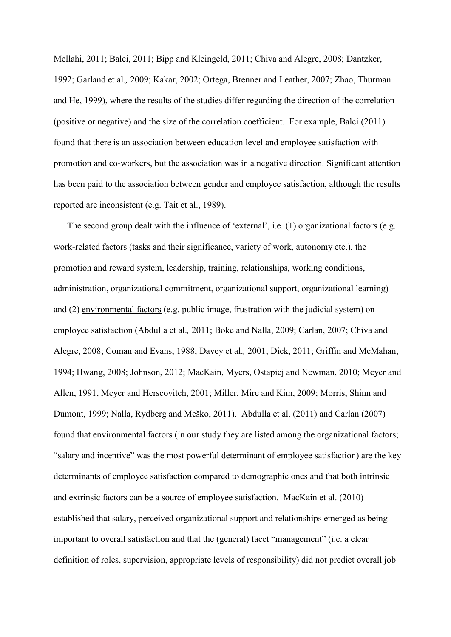Mellahi, 2011; Balci, 2011; Bipp and Kleingeld, 2011; Chiva and Alegre, 2008; Dantzker, 1992; Garland et al.*,* 2009; Kakar, 2002; Ortega, Brenner and Leather, 2007; Zhao, Thurman and He, 1999), where the results of the studies differ regarding the direction of the correlation (positive or negative) and the size of the correlation coefficient. For example, Balci (2011) found that there is an association between education level and employee satisfaction with promotion and co-workers, but the association was in a negative direction. Significant attention has been paid to the association between gender and employee satisfaction, although the results reported are inconsistent (e.g. Tait et al., 1989).

The second group dealt with the influence of 'external', i.e. (1) organizational factors (e.g. work-related factors (tasks and their significance, variety of work, autonomy etc.), the promotion and reward system, leadership, training, relationships, working conditions, administration, organizational commitment, organizational support, organizational learning) and (2) environmental factors (e.g. public image, frustration with the judicial system) on employee satisfaction (Abdulla et al.*,* 2011; Boke and Nalla, 2009; Carlan, 2007; Chiva and Alegre, 2008; Coman and Evans, 1988; Davey et al.*,* 2001; Dick, 2011; Griffin and McMahan, 1994; Hwang, 2008; Johnson, 2012; MacKain, Myers, Ostapiej and Newman, 2010; Meyer and Allen, 1991, Meyer and Herscovitch, 2001; Miller, Mire and Kim, 2009; Morris, Shinn and Dumont, 1999; Nalla, Rydberg and Meško, 2011). Abdulla et al. (2011) and Carlan (2007) found that environmental factors (in our study they are listed among the organizational factors; "salary and incentive" was the most powerful determinant of employee satisfaction) are the key determinants of employee satisfaction compared to demographic ones and that both intrinsic and extrinsic factors can be a source of employee satisfaction. MacKain et al. (2010) established that salary, perceived organizational support and relationships emerged as being important to overall satisfaction and that the (general) facet "management" (i.e. a clear definition of roles, supervision, appropriate levels of responsibility) did not predict overall job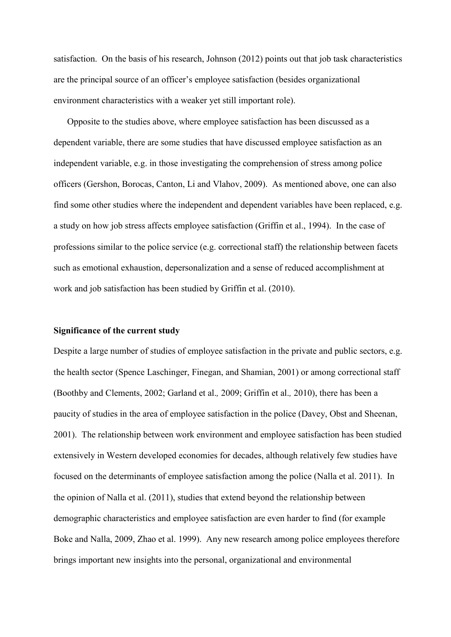satisfaction. On the basis of his research, Johnson (2012) points out that job task characteristics are the principal source of an officer's employee satisfaction (besides organizational environment characteristics with a weaker yet still important role).

Opposite to the studies above, where employee satisfaction has been discussed as a dependent variable, there are some studies that have discussed employee satisfaction as an independent variable, e.g. in those investigating the comprehension of stress among police officers (Gershon, Borocas, Canton, Li and Vlahov, 2009). As mentioned above, one can also find some other studies where the independent and dependent variables have been replaced, e.g. a study on how job stress affects employee satisfaction (Griffin et al., 1994). In the case of professions similar to the police service (e.g. correctional staff) the relationship between facets such as emotional exhaustion, depersonalization and a sense of reduced accomplishment at work and job satisfaction has been studied by Griffin et al. (2010).

## **Significance of the current study**

Despite a large number of studies of employee satisfaction in the private and public sectors, e.g. the health sector (Spence Laschinger, Finegan, and Shamian, 2001) or among correctional staff (Boothby and Clements, 2002; Garland et al.*,* 2009; Griffin et al.*,* 2010), there has been a paucity of studies in the area of employee satisfaction in the police (Davey, Obst and Sheenan, 2001). The relationship between work environment and employee satisfaction has been studied extensively in Western developed economies for decades, although relatively few studies have focused on the determinants of employee satisfaction among the police (Nalla et al. 2011). In the opinion of Nalla et al. (2011), studies that extend beyond the relationship between demographic characteristics and employee satisfaction are even harder to find (for example Boke and Nalla, 2009, Zhao et al. 1999). Any new research among police employees therefore brings important new insights into the personal, organizational and environmental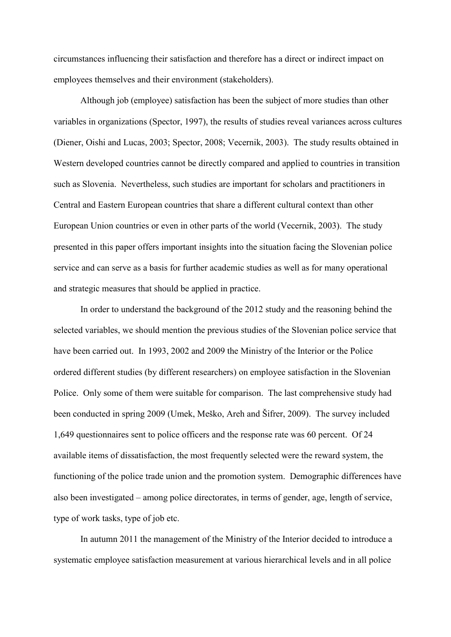circumstances influencing their satisfaction and therefore has a direct or indirect impact on employees themselves and their environment (stakeholders).

Although job (employee) satisfaction has been the subject of more studies than other variables in organizations (Spector, 1997), the results of studies reveal variances across cultures (Diener, Oishi and Lucas, 2003; Spector, 2008; Vecernik, 2003). The study results obtained in Western developed countries cannot be directly compared and applied to countries in transition such as Slovenia. Nevertheless, such studies are important for scholars and practitioners in Central and Eastern European countries that share a different cultural context than other European Union countries or even in other parts of the world (Vecernik, 2003). The study presented in this paper offers important insights into the situation facing the Slovenian police service and can serve as a basis for further academic studies as well as for many operational and strategic measures that should be applied in practice.

In order to understand the background of the 2012 study and the reasoning behind the selected variables, we should mention the previous studies of the Slovenian police service that have been carried out. In 1993, 2002 and 2009 the Ministry of the Interior or the Police ordered different studies (by different researchers) on employee satisfaction in the Slovenian Police. Only some of them were suitable for comparison. The last comprehensive study had been conducted in spring 2009 (Umek, Meško, Areh and Šifrer, 2009). The survey included 1,649 questionnaires sent to police officers and the response rate was 60 percent. Of 24 available items of dissatisfaction, the most frequently selected were the reward system, the functioning of the police trade union and the promotion system. Demographic differences have also been investigated – among police directorates, in terms of gender, age, length of service, type of work tasks, type of job etc.

In autumn 2011 the management of the Ministry of the Interior decided to introduce a systematic employee satisfaction measurement at various hierarchical levels and in all police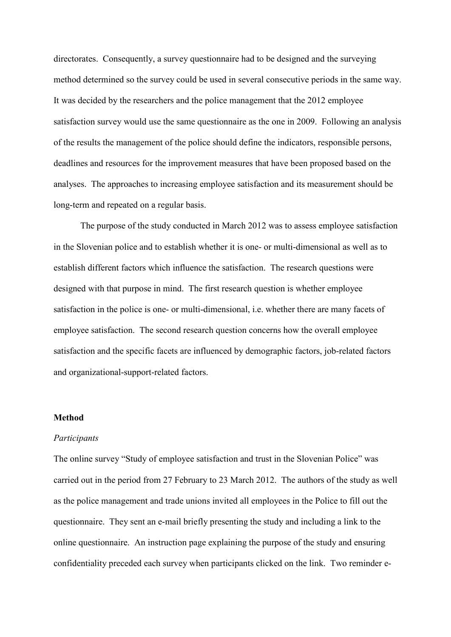directorates. Consequently, a survey questionnaire had to be designed and the surveying method determined so the survey could be used in several consecutive periods in the same way. It was decided by the researchers and the police management that the 2012 employee satisfaction survey would use the same questionnaire as the one in 2009. Following an analysis of the results the management of the police should define the indicators, responsible persons, deadlines and resources for the improvement measures that have been proposed based on the analyses. The approaches to increasing employee satisfaction and its measurement should be long-term and repeated on a regular basis.

The purpose of the study conducted in March 2012 was to assess employee satisfaction in the Slovenian police and to establish whether it is one- or multi-dimensional as well as to establish different factors which influence the satisfaction. The research questions were designed with that purpose in mind. The first research question is whether employee satisfaction in the police is one- or multi-dimensional, i.e. whether there are many facets of employee satisfaction. The second research question concerns how the overall employee satisfaction and the specific facets are influenced by demographic factors, job-related factors and organizational-support-related factors.

#### **Method**

#### *Participants*

The online survey "Study of employee satisfaction and trust in the Slovenian Police" was carried out in the period from 27 February to 23 March 2012. The authors of the study as well as the police management and trade unions invited all employees in the Police to fill out the questionnaire. They sent an e-mail briefly presenting the study and including a link to the online questionnaire. An instruction page explaining the purpose of the study and ensuring confidentiality preceded each survey when participants clicked on the link. Two reminder e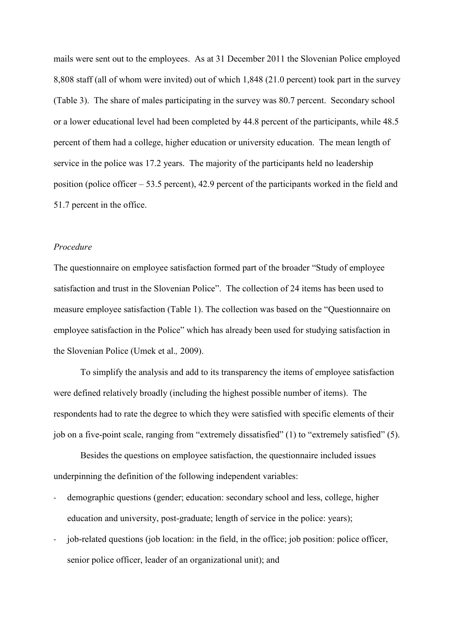mails were sent out to the employees. As at 31 December 2011 the Slovenian Police employed 8,808 staff (all of whom were invited) out of which 1,848 (21.0 percent) took part in the survey (Table 3). The share of males participating in the survey was 80.7 percent. Secondary school or a lower educational level had been completed by 44.8 percent of the participants, while 48.5 percent of them had a college, higher education or university education. The mean length of service in the police was 17.2 years. The majority of the participants held no leadership position (police officer – 53.5 percent), 42.9 percent of the participants worked in the field and 51.7 percent in the office.

#### *Procedure*

The questionnaire on employee satisfaction formed part of the broader "Study of employee satisfaction and trust in the Slovenian Police". The collection of 24 items has been used to measure employee satisfaction (Table 1). The collection was based on the "Questionnaire on employee satisfaction in the Police" which has already been used for studying satisfaction in the Slovenian Police (Umek et al.*,* 2009).

To simplify the analysis and add to its transparency the items of employee satisfaction were defined relatively broadly (including the highest possible number of items). The respondents had to rate the degree to which they were satisfied with specific elements of their job on a five-point scale, ranging from "extremely dissatisfied" (1) to "extremely satisfied" (5).

Besides the questions on employee satisfaction, the questionnaire included issues underpinning the definition of the following independent variables:

- demographic questions (gender; education: secondary school and less, college, higher education and university, post-graduate; length of service in the police: years);
- job-related questions (job location: in the field, in the office; job position: police officer, senior police officer, leader of an organizational unit); and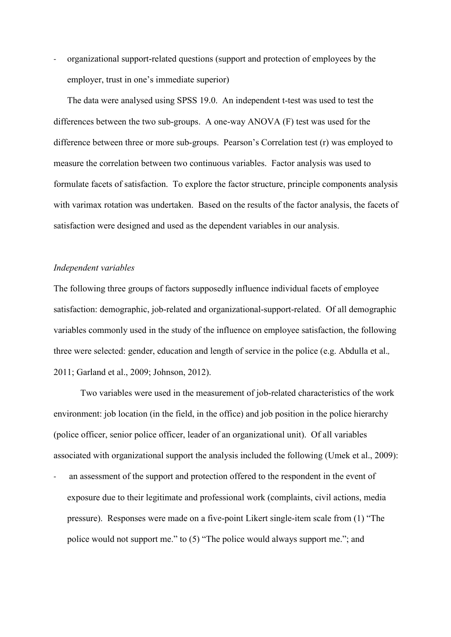- organizational support-related questions (support and protection of employees by the employer, trust in one's immediate superior)

The data were analysed using SPSS 19.0. An independent t-test was used to test the differences between the two sub-groups. A one-way ANOVA (F) test was used for the difference between three or more sub-groups. Pearson's Correlation test (r) was employed to measure the correlation between two continuous variables. Factor analysis was used to formulate facets of satisfaction. To explore the factor structure, principle components analysis with varimax rotation was undertaken. Based on the results of the factor analysis, the facets of satisfaction were designed and used as the dependent variables in our analysis.

#### *Independent variables*

The following three groups of factors supposedly influence individual facets of employee satisfaction: demographic, job-related and organizational-support-related. Of all demographic variables commonly used in the study of the influence on employee satisfaction, the following three were selected: gender, education and length of service in the police (e.g. Abdulla et al.*,* 2011; Garland et al., 2009; Johnson, 2012).

Two variables were used in the measurement of job-related characteristics of the work environment: job location (in the field, in the office) and job position in the police hierarchy (police officer, senior police officer, leader of an organizational unit). Of all variables associated with organizational support the analysis included the following (Umek et al., 2009):

an assessment of the support and protection offered to the respondent in the event of exposure due to their legitimate and professional work (complaints, civil actions, media pressure). Responses were made on a five-point Likert single-item scale from (1) "The police would not support me." to (5) "The police would always support me."; and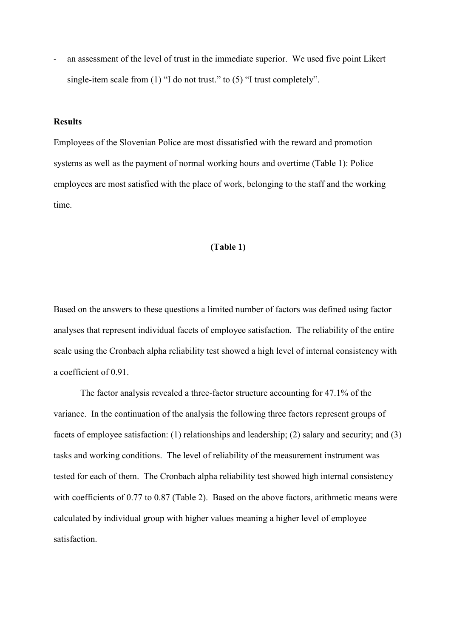an assessment of the level of trust in the immediate superior. We used five point Likert single-item scale from (1) "I do not trust." to (5) "I trust completely".

## **Results**

Employees of the Slovenian Police are most dissatisfied with the reward and promotion systems as well as the payment of normal working hours and overtime (Table 1): Police employees are most satisfied with the place of work, belonging to the staff and the working time.

## **(Table 1)**

Based on the answers to these questions a limited number of factors was defined using factor analyses that represent individual facets of employee satisfaction. The reliability of the entire scale using the Cronbach alpha reliability test showed a high level of internal consistency with a coefficient of 0.91.

The factor analysis revealed a three-factor structure accounting for 47.1% of the variance. In the continuation of the analysis the following three factors represent groups of facets of employee satisfaction: (1) relationships and leadership; (2) salary and security; and (3) tasks and working conditions. The level of reliability of the measurement instrument was tested for each of them. The Cronbach alpha reliability test showed high internal consistency with coefficients of 0.77 to 0.87 (Table 2). Based on the above factors, arithmetic means were calculated by individual group with higher values meaning a higher level of employee satisfaction.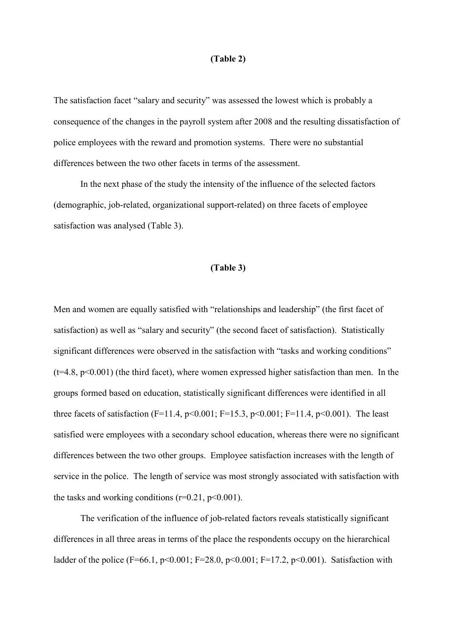#### **(Table 2)**

The satisfaction facet "salary and security" was assessed the lowest which is probably a consequence of the changes in the payroll system after 2008 and the resulting dissatisfaction of police employees with the reward and promotion systems. There were no substantial differences between the two other facets in terms of the assessment.

In the next phase of the study the intensity of the influence of the selected factors (demographic, job-related, organizational support-related) on three facets of employee satisfaction was analysed (Table 3).

### **(Table 3)**

Men and women are equally satisfied with "relationships and leadership" (the first facet of satisfaction) as well as "salary and security" (the second facet of satisfaction). Statistically significant differences were observed in the satisfaction with "tasks and working conditions"  $(t=4.8, p<0.001)$  (the third facet), where women expressed higher satisfaction than men. In the groups formed based on education, statistically significant differences were identified in all three facets of satisfaction  $(F=11.4, p<0.001; F=15.3, p<0.001; F=11.4, p<0.001)$ . The least satisfied were employees with a secondary school education, whereas there were no significant differences between the two other groups. Employee satisfaction increases with the length of service in the police. The length of service was most strongly associated with satisfaction with the tasks and working conditions  $(r=0.21, p<0.001)$ .

The verification of the influence of job-related factors reveals statistically significant differences in all three areas in terms of the place the respondents occupy on the hierarchical ladder of the police (F=66.1, p<0.001; F=28.0, p<0.001; F=17.2, p<0.001). Satisfaction with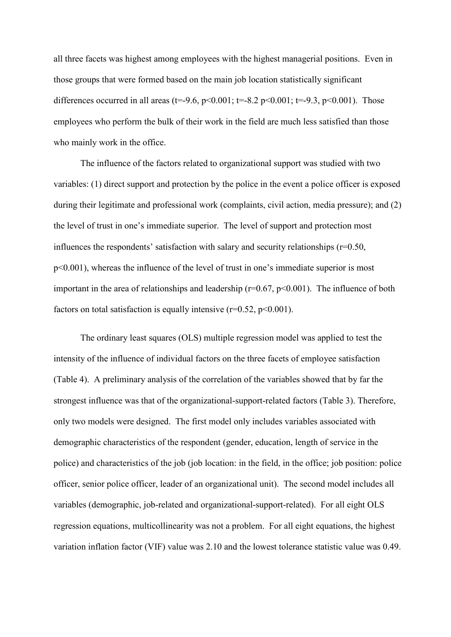all three facets was highest among employees with the highest managerial positions. Even in those groups that were formed based on the main job location statistically significant differences occurred in all areas (t=-9.6, p<0.001; t=-8.2 p<0.001; t=-9.3, p<0.001). Those employees who perform the bulk of their work in the field are much less satisfied than those who mainly work in the office.

The influence of the factors related to organizational support was studied with two variables: (1) direct support and protection by the police in the event a police officer is exposed during their legitimate and professional work (complaints, civil action, media pressure); and (2) the level of trust in one's immediate superior. The level of support and protection most influences the respondents' satisfaction with salary and security relationships  $(r=0.50,$ p<0.001), whereas the influence of the level of trust in one's immediate superior is most important in the area of relationships and leadership ( $r=0.67$ ,  $p<0.001$ ). The influence of both factors on total satisfaction is equally intensive  $(r=0.52, p<0.001)$ .

The ordinary least squares (OLS) multiple regression model was applied to test the intensity of the influence of individual factors on the three facets of employee satisfaction (Table 4). A preliminary analysis of the correlation of the variables showed that by far the strongest influence was that of the organizational-support-related factors (Table 3). Therefore, only two models were designed. The first model only includes variables associated with demographic characteristics of the respondent (gender, education, length of service in the police) and characteristics of the job (job location: in the field, in the office; job position: police officer, senior police officer, leader of an organizational unit). The second model includes all variables (demographic, job-related and organizational-support-related). For all eight OLS regression equations, multicollinearity was not a problem. For all eight equations, the highest variation inflation factor (VIF) value was 2.10 and the lowest tolerance statistic value was 0.49.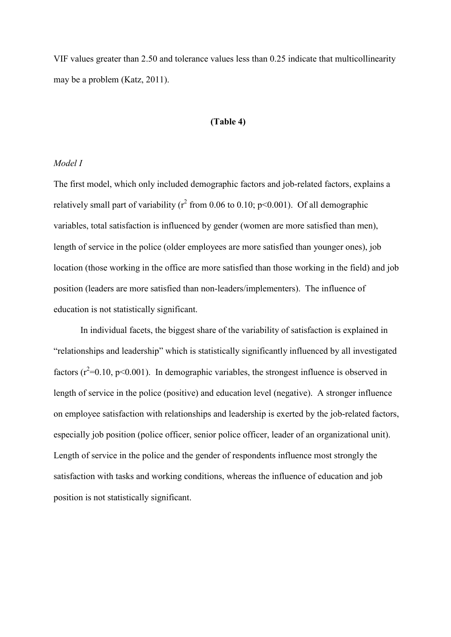VIF values greater than 2.50 and tolerance values less than 0.25 indicate that multicollinearity may be a problem (Katz, 2011).

## **(Table 4)**

#### *Model I*

The first model, which only included demographic factors and job-related factors, explains a relatively small part of variability ( $r^2$  from 0.06 to 0.10; p<0.001). Of all demographic variables, total satisfaction is influenced by gender (women are more satisfied than men), length of service in the police (older employees are more satisfied than younger ones), job location (those working in the office are more satisfied than those working in the field) and job position (leaders are more satisfied than non-leaders/implementers). The influence of education is not statistically significant.

In individual facets, the biggest share of the variability of satisfaction is explained in "relationships and leadership" which is statistically significantly influenced by all investigated factors ( $r^2$ =0.10, p<0.001). In demographic variables, the strongest influence is observed in length of service in the police (positive) and education level (negative). A stronger influence on employee satisfaction with relationships and leadership is exerted by the job-related factors, especially job position (police officer, senior police officer, leader of an organizational unit). Length of service in the police and the gender of respondents influence most strongly the satisfaction with tasks and working conditions, whereas the influence of education and job position is not statistically significant.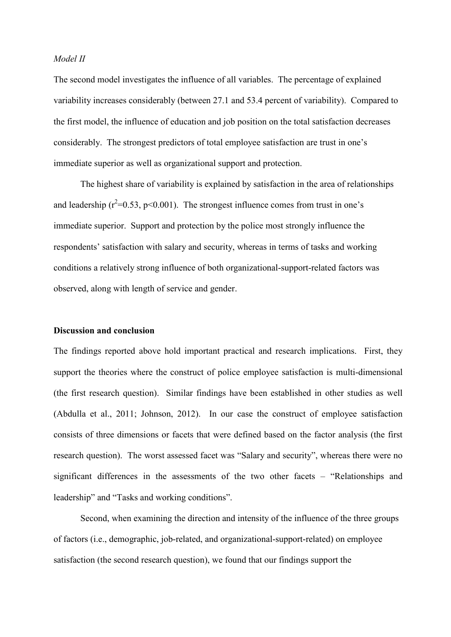#### *Model II*

The second model investigates the influence of all variables. The percentage of explained variability increases considerably (between 27.1 and 53.4 percent of variability). Compared to the first model, the influence of education and job position on the total satisfaction decreases considerably. The strongest predictors of total employee satisfaction are trust in one's immediate superior as well as organizational support and protection.

The highest share of variability is explained by satisfaction in the area of relationships and leadership ( $r^2$ =0.53, p<0.001). The strongest influence comes from trust in one's immediate superior. Support and protection by the police most strongly influence the respondents' satisfaction with salary and security, whereas in terms of tasks and working conditions a relatively strong influence of both organizational-support-related factors was observed, along with length of service and gender.

#### **Discussion and conclusion**

The findings reported above hold important practical and research implications. First, they support the theories where the construct of police employee satisfaction is multi-dimensional (the first research question). Similar findings have been established in other studies as well (Abdulla et al., 2011; Johnson, 2012). In our case the construct of employee satisfaction consists of three dimensions or facets that were defined based on the factor analysis (the first research question). The worst assessed facet was "Salary and security", whereas there were no significant differences in the assessments of the two other facets – "Relationships and leadership" and "Tasks and working conditions".

Second, when examining the direction and intensity of the influence of the three groups of factors (i.e., demographic, job-related, and organizational-support-related) on employee satisfaction (the second research question), we found that our findings support the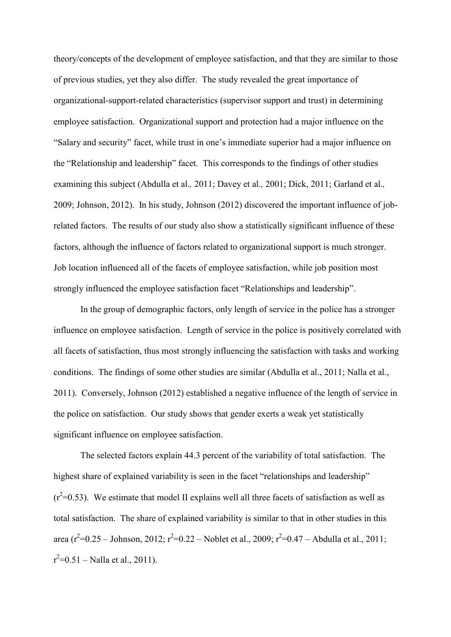theory/concepts of the development of employee satisfaction, and that they are similar to those of previous studies, yet they also differ. The study revealed the great importance of organizational-support-related characteristics (supervisor support and trust) in determining employee satisfaction. Organizational support and protection had a major influence on the "Salary and security" facet, while trust in one's immediate superior had a major influence on the "Relationship and leadership" facet. This corresponds to the findings of other studies examining this subject (Abdulla et al.*,* 2011; Davey et al.*,* 2001; Dick, 2011; Garland et al.*,* 2009; Johnson, 2012). In his study, Johnson (2012) discovered the important influence of jobrelated factors. The results of our study also show a statistically significant influence of these factors, although the influence of factors related to organizational support is much stronger. Job location influenced all of the facets of employee satisfaction, while job position most strongly influenced the employee satisfaction facet "Relationships and leadership".

In the group of demographic factors, only length of service in the police has a stronger influence on employee satisfaction. Length of service in the police is positively correlated with all facets of satisfaction, thus most strongly influencing the satisfaction with tasks and working conditions. The findings of some other studies are similar (Abdulla et al., 2011; Nalla et al., 2011). Conversely, Johnson (2012) established a negative influence of the length of service in the police on satisfaction. Our study shows that gender exerts a weak yet statistically significant influence on employee satisfaction.

The selected factors explain 44.3 percent of the variability of total satisfaction. The highest share of explained variability is seen in the facet "relationships and leadership"  $(r<sup>2</sup>=0.53)$ . We estimate that model II explains well all three facets of satisfaction as well as total satisfaction. The share of explained variability is similar to that in other studies in this area ( $r^2$ =0.25 – Johnson, 2012;  $r^2$ =0.22 – Noblet et al., 2009;  $r^2$ =0.47 – Abdulla et al., 2011;  $r^2 = 0.51 - \text{Nalla et al.}, 2011).$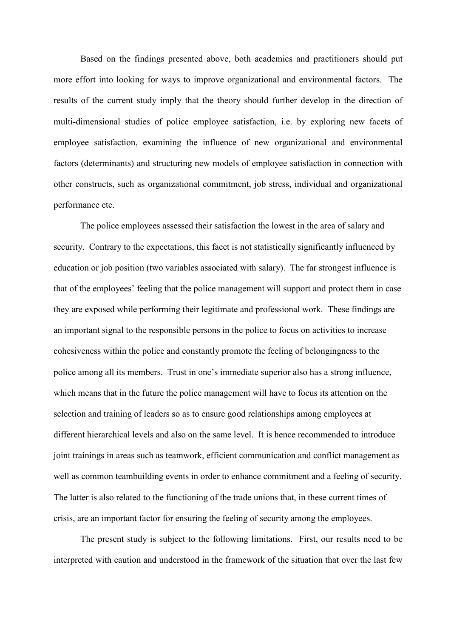Based on the findings presented above, both academics and practitioners should put more effort into looking for ways to improve organizational and environmental factors. The results of the current study imply that the theory should further develop in the direction of multi-dimensional studies of police employee satisfaction, i.e. by exploring new facets of employee satisfaction, examining the influence of new organizational and environmental factors (determinants) and structuring new models of employee satisfaction in connection with other constructs, such as organizational commitment, job stress, individual and organizational performance etc.

The police employees assessed their satisfaction the lowest in the area of salary and security. Contrary to the expectations, this facet is not statistically significantly influenced by education or job position (two variables associated with salary). The far strongest influence is that of the employees' feeling that the police management will support and protect them in case they are exposed while performing their legitimate and professional work. These findings are an important signal to the responsible persons in the police to focus on activities to increase cohesiveness within the police and constantly promote the feeling of belongingness to the police among all its members. Trust in one's immediate superior also has a strong influence, which means that in the future the police management will have to focus its attention on the selection and training of leaders so as to ensure good relationships among employees at different hierarchical levels and also on the same level. It is hence recommended to introduce joint trainings in areas such as teamwork, efficient communication and conflict management as well as common teambuilding events in order to enhance commitment and a feeling of security. The latter is also related to the functioning of the trade unions that, in these current times of crisis, are an important factor for ensuring the feeling of security among the employees.

The present study is subject to the following limitations. First, our results need to be interpreted with caution and understood in the framework of the situation that over the last few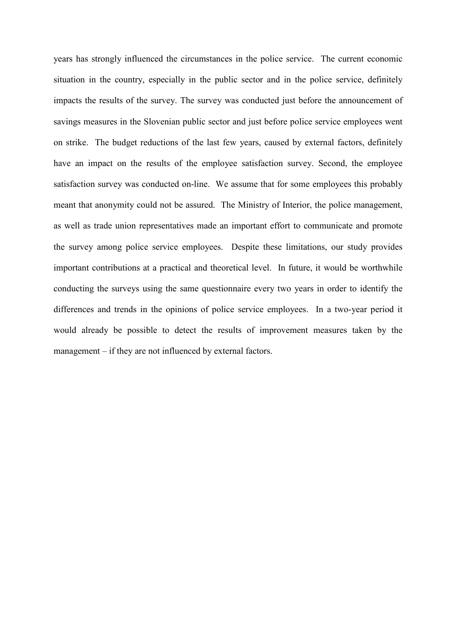years has strongly influenced the circumstances in the police service. The current economic situation in the country, especially in the public sector and in the police service, definitely impacts the results of the survey. The survey was conducted just before the announcement of savings measures in the Slovenian public sector and just before police service employees went on strike. The budget reductions of the last few years, caused by external factors, definitely have an impact on the results of the employee satisfaction survey. Second, the employee satisfaction survey was conducted on-line. We assume that for some employees this probably meant that anonymity could not be assured. The Ministry of Interior, the police management, as well as trade union representatives made an important effort to communicate and promote the survey among police service employees. Despite these limitations, our study provides important contributions at a practical and theoretical level. In future, it would be worthwhile conducting the surveys using the same questionnaire every two years in order to identify the differences and trends in the opinions of police service employees. In a two-year period it would already be possible to detect the results of improvement measures taken by the management – if they are not influenced by external factors.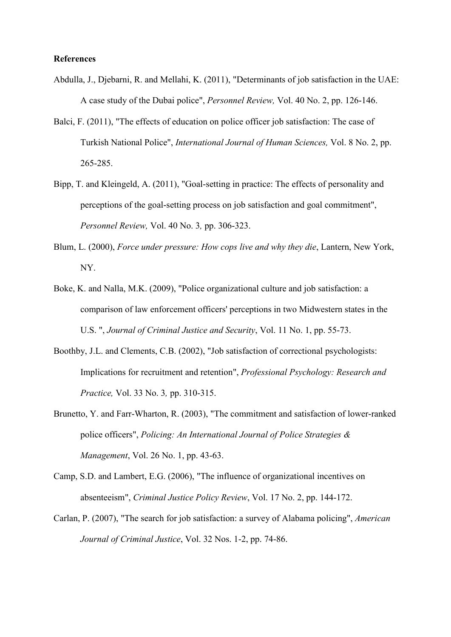#### **References**

- Abdulla, J., Djebarni, R. and Mellahi, K. (2011), "Determinants of job satisfaction in the UAE: A case study of the Dubai police", *Personnel Review,* Vol. 40 No. 2, pp. 126-146.
- Balci, F. (2011), "The effects of education on police officer job satisfaction: The case of Turkish National Police", *International Journal of Human Sciences,* Vol. 8 No. 2, pp. 265-285.
- Bipp, T. and Kleingeld, A. (2011), "Goal-setting in practice: The effects of personality and perceptions of the goal-setting process on job satisfaction and goal commitment", *Personnel Review,* Vol. 40 No. 3*,* pp. 306-323.
- Blum, L. (2000), *Force under pressure: How cops live and why they die*, Lantern, New York, NY.
- Boke, K. and Nalla, M.K. (2009), "Police organizational culture and job satisfaction: a comparison of law enforcement officers' perceptions in two Midwestern states in the U.S. ", *Journal of Criminal Justice and Security*, Vol. 11 No. 1, pp. 55-73.
- Boothby, J.L. and Clements, C.B. (2002), "Job satisfaction of correctional psychologists: Implications for recruitment and retention", *Professional Psychology: Research and Practice,* Vol. 33 No. 3*,* pp. 310-315.
- Brunetto, Y. and Farr-Wharton, R. (2003), "The commitment and satisfaction of lower-ranked police officers", *Policing: An International Journal of Police Strategies & Management*, Vol. 26 No. 1, pp. 43-63.
- Camp, S.D. and Lambert, E.G. (2006), "The influence of organizational incentives on absenteeism", *Criminal Justice Policy Review*, Vol. 17 No. 2, pp. 144-172.
- Carlan, P. (2007), "The search for job satisfaction: a survey of Alabama policing", *American Journal of Criminal Justice*, Vol. 32 Nos. 1-2, pp. 74-86.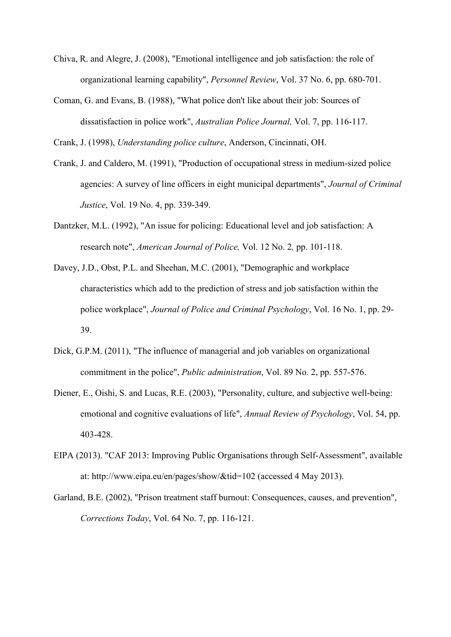- Chiva, R. and Alegre, J. (2008), "Emotional intelligence and job satisfaction: the role of organizational learning capability", *Personnel Review*, Vol. 37 No. 6, pp. 680-701.
- Coman, G. and Evans, B. (1988), "What police don't like about their job: Sources of dissatisfaction in police work", *Australian Police Journal,* Vol. 7, pp. 116-117.

Crank, J. (1998), *Understanding police culture*, Anderson, Cincinnati, OH.

- Crank, J. and Caldero, M. (1991), "Production of occupational stress in medium-sized police agencies: A survey of line officers in eight municipal departments", *Journal of Criminal Justice*, Vol. 19 No. 4, pp. 339-349.
- Dantzker, M.L. (1992), "An issue for policing: Educational level and job satisfaction: A research note", *American Journal of Police,* Vol. 12 No. 2*,* pp. 101-118.
- Davey, J.D., Obst, P.L. and Sheehan, M.C. (2001), "Demographic and workplace characteristics which add to the prediction of stress and job satisfaction within the police workplace", *Journal of Police and Criminal Psychology*, Vol. 16 No. 1, pp. 29- 39.
- Dick, G.P.M. (2011), "The influence of managerial and job variables on organizational commitment in the police", *Public administration*, Vol. 89 No. 2, pp. 557-576.
- Diener, E., Oishi, S. and Lucas, R.E. (2003), "Personality, culture, and subjective well-being: emotional and cognitive evaluations of life", *Annual Review of Psychology*, Vol. 54, pp. 403-428.
- EIPA (2013). "CAF 2013: Improving Public Organisations through Self-Assessment", available at: http://www.eipa.eu/en/pages/show/&tid=102 (accessed 4 May 2013).
- Garland, B.E. (2002), "Prison treatment staff burnout: Consequences, causes, and prevention", *Corrections Today*, Vol. 64 No. 7, pp. 116-121.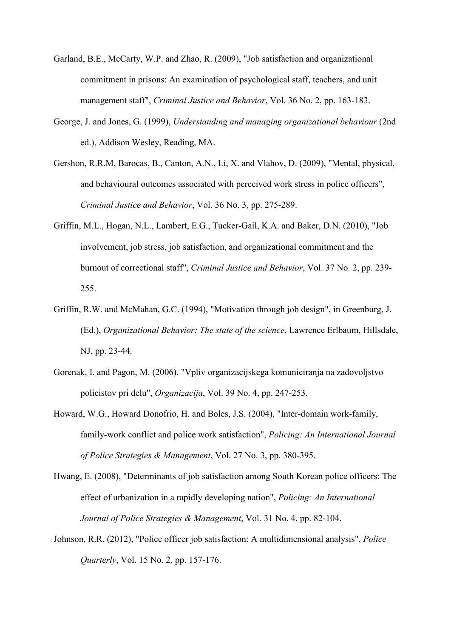- Garland, B.E., McCarty, W.P. and Zhao, R. (2009), "Job satisfaction and organizational commitment in prisons: An examination of psychological staff, teachers, and unit management staff", *Criminal Justice and Behavior*, Vol. 36 No. 2, pp. 163-183.
- George, J. and Jones, G. (1999), *Understanding and managing organizational behaviour* (2nd ed.), Addison Wesley, Reading, MA.
- Gershon, R.R.M, Barocas, B., Canton, A.N., Li, X. and Vlahov, D. (2009), "Mental, physical, and behavioural outcomes associated with perceived work stress in police officers", *Criminal Justice and Behavior*, Vol. 36 No. 3, pp. 275-289.
- Griffin, M.L., Hogan, N.L., Lambert, E.G., Tucker-Gail, K.A. and Baker, D.N. (2010), "Job involvement, job stress, job satisfaction, and organizational commitment and the burnout of correctional staff", *Criminal Justice and Behavior*, Vol. 37 No. 2, pp. 239- 255.
- Griffin, R.W. and McMahan, G.C. (1994), "Motivation through job design", in Greenburg, J. (Ed.), *Organizational Behavior: The state of the science*, Lawrence Erlbaum, Hillsdale, NJ, pp. 23-44.
- Gorenak, I. and Pagon, M. (2006), "Vpliv organizacijskega komuniciranja na zadovoljstvo policistov pri delu", *Organizacija*, Vol. 39 No. 4, pp. 247-253.
- Howard, W.G., Howard Donofrio, H. and Boles, J.S. (2004), "Inter-domain work-family, family-work conflict and police work satisfaction", *Policing: An International Journal of Police Strategies & Management*, Vol. 27 No. 3, pp. 380-395.
- Hwang, E. (2008), "Determinants of job satisfaction among South Korean police officers: The effect of urbanization in a rapidly developing nation", *Policing: An International Journal of Police Strategies & Management*, Vol. 31 No. 4, pp. 82-104.
- Johnson, R.R. (2012), "Police officer job satisfaction: A multidimensional analysis", *Police Quarterly*, Vol. 15 No. 2*,* pp. 157-176.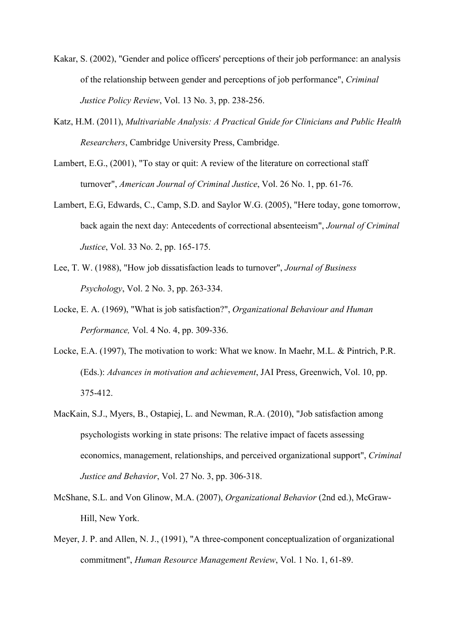- Kakar, S. (2002), "Gender and police officers' perceptions of their job performance: an analysis of the relationship between gender and perceptions of job performance", *Criminal Justice Policy Review*, Vol. 13 No. 3, pp. 238-256.
- Katz, H.M. (2011), *Multivariable Analysis: A Practical Guide for Clinicians and Public Health Researchers*, Cambridge University Press, Cambridge.
- Lambert, E.G., (2001), "To stay or quit: A review of the literature on correctional staff turnover", *American Journal of Criminal Justice*, Vol. 26 No. 1, pp. 61-76.
- Lambert, E.G, Edwards, C., Camp, S.D. and Saylor W.G. (2005), "Here today, gone tomorrow, back again the next day: Antecedents of correctional absenteeism", *Journal of Criminal Justice*, Vol. 33 No. 2, pp. 165-175.
- Lee, T. W. (1988), "How job dissatisfaction leads to turnover", *Journal of Business Psychology*, Vol. 2 No. 3, pp. 263-334.
- Locke, E. A. (1969), "What is job satisfaction?", *Organizational Behaviour and Human Performance,* Vol. 4 No. 4, pp. 309-336.
- Locke, E.A. (1997), The motivation to work: What we know. In Maehr, M.L. & Pintrich, P.R. (Eds.): *Advances in motivation and achievement*, JAI Press, Greenwich, Vol. 10, pp. 375-412.
- MacKain, S.J., Myers, B., Ostapiej, L. and Newman, R.A. (2010), "Job satisfaction among psychologists working in state prisons: The relative impact of facets assessing economics, management, relationships, and perceived organizational support", *Criminal Justice and Behavior*, Vol. 27 No. 3, pp. 306-318.
- McShane, S.L. and Von Glinow, M.A. (2007), *Organizational Behavior* (2nd ed.), McGraw-Hill, New York.
- Meyer, J. P. and Allen, N. J., (1991), "A three-component conceptualization of organizational commitment", *Human Resource Management Review*, Vol. 1 No. 1, 61-89.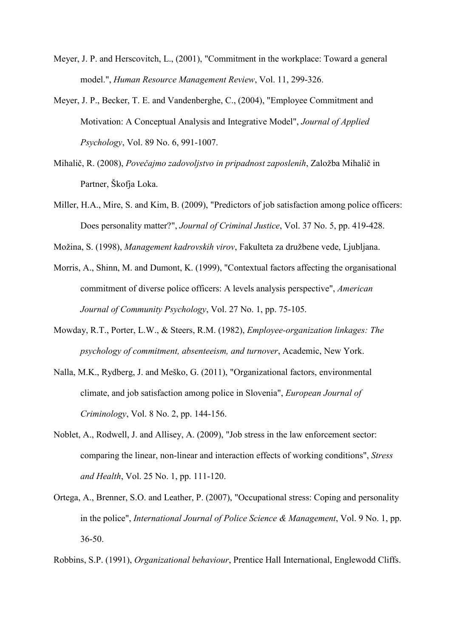- Meyer, J. P. and Herscovitch, L., (2001), "Commitment in the workplace: Toward a general model.", *Human Resource Management Review*, Vol. 11, 299-326.
- Meyer, J. P., Becker, T. E. and Vandenberghe, C., (2004), "Employee Commitment and Motivation: A Conceptual Analysis and Integrative Model", *Journal of Applied Psychology*, Vol. 89 No. 6, 991-1007.
- Mihalič, R. (2008), *Povečajmo zadovoljstvo in pripadnost zaposlenih*, Založba Mihalič in Partner, Škofja Loka.
- Miller, H.A., Mire, S. and Kim, B. (2009), "Predictors of job satisfaction among police officers: Does personality matter?", *Journal of Criminal Justice*, Vol. 37 No. 5, pp. 419-428.
- Možina, S. (1998), *Management kadrovskih virov*, Fakulteta za družbene vede, Ljubljana.
- Morris, A., Shinn, M. and Dumont, K. (1999), "Contextual factors affecting the organisational commitment of diverse police officers: A levels analysis perspective", *American Journal of Community Psychology*, Vol. 27 No. 1, pp. 75-105.
- Mowday, R.T., Porter, L.W., & Steers, R.M. (1982), *Employee-organization linkages: The psychology of commitment, absenteeism, and turnover*, Academic, New York.
- Nalla, M.K., Rydberg, J. and Meško, G. (2011), "Organizational factors, environmental climate, and job satisfaction among police in Slovenia", *European Journal of Criminology*, Vol. 8 No. 2, pp. 144-156.
- Noblet, A., Rodwell, J. and Allisey, A. (2009), "Job stress in the law enforcement sector: comparing the linear, non-linear and interaction effects of working conditions", *Stress and Health*, Vol. 25 No. 1, pp. 111-120.
- Ortega, A., Brenner, S.O. and Leather, P. (2007), "Occupational stress: Coping and personality in the police", *International Journal of Police Science & Management*, Vol. 9 No. 1, pp. 36-50.

Robbins, S.P. (1991), *Organizational behaviour*, Prentice Hall International, Englewodd Cliffs.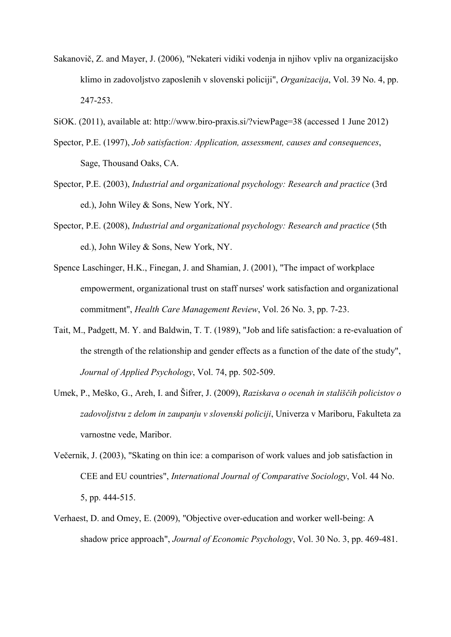- Sakanovič, Z. and Mayer, J. (2006), "Nekateri vidiki vodenja in njihov vpliv na organizacijsko klimo in zadovoljstvo zaposlenih v slovenski policiji", *Organizacija*, Vol. 39 No. 4, pp. 247-253.
- SiOK. (2011), available at: http://www.biro-praxis.si/?viewPage=38 (accessed 1 June 2012)
- Spector, P.E. (1997), *Job satisfaction: Application, assessment, causes and consequences*, Sage, Thousand Oaks, CA.
- Spector, P.E. (2003), *Industrial and organizational psychology: Research and practice* (3rd ed.), John Wiley & Sons, New York, NY.
- Spector, P.E. (2008), *Industrial and organizational psychology: Research and practice* (5th ed.), John Wiley & Sons, New York, NY.
- Spence Laschinger, H.K., Finegan, J. and Shamian, J. (2001), "The impact of workplace empowerment, organizational trust on staff nurses' work satisfaction and organizational commitment", *Health Care Management Review*, Vol. 26 No. 3, pp. 7-23.
- Tait, M., Padgett, M. Y. and Baldwin, T. T. (1989), "Job and life satisfaction: a re-evaluation of the strength of the relationship and gender effects as a function of the date of the study", *Journal of Applied Psychology*, Vol. 74, pp. 502-509.
- Umek, P., Meško, G., Areh, I. and Šifrer, J. (2009), *Raziskava o ocenah in stališčih policistov o zadovoljstvu z delom in zaupanju v slovenski policiji*, Univerza v Mariboru, Fakulteta za varnostne vede, Maribor.
- Večernik, J. (2003), "Skating on thin ice: a comparison of work values and job satisfaction in CEE and EU countries", *International Journal of Comparative Sociology*, Vol. 44 No. 5, pp. 444-515.
- Verhaest, D. and Omey, E. (2009), "Objective over-education and worker well-being: A shadow price approach", *Journal of Economic Psychology*, Vol. 30 No. 3, pp. 469-481.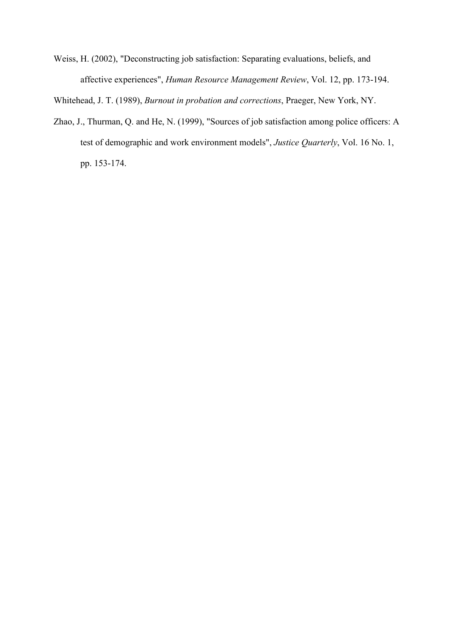Weiss, H. (2002), "Deconstructing job satisfaction: Separating evaluations, beliefs, and affective experiences", *Human Resource Management Review*, Vol. 12, pp. 173-194.

Whitehead, J. T. (1989), *Burnout in probation and corrections*, Praeger, New York, NY.

Zhao, J., Thurman, Q. and He, N. (1999), "Sources of job satisfaction among police officers: A test of demographic and work environment models", *Justice Quarterly*, Vol. 16 No. 1, pp. 153-174.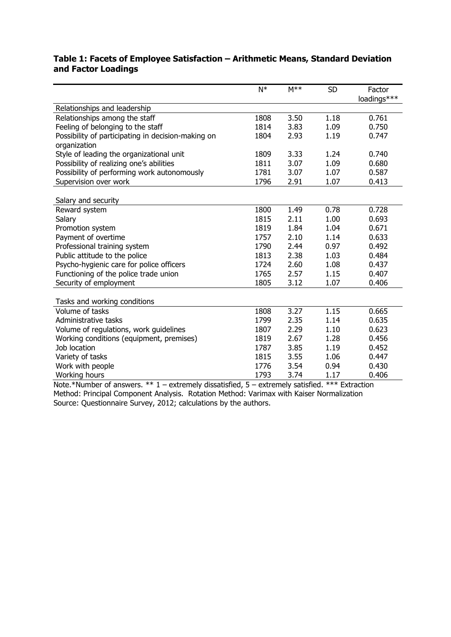## **Table 1: Facets of Employee Satisfaction – Arithmetic Means, Standard Deviation and Factor Loadings**

|                                                    | $N^*$ | $M^{**}$ | <b>SD</b> | Factor<br>loadings*** |
|----------------------------------------------------|-------|----------|-----------|-----------------------|
| Relationships and leadership                       |       |          |           |                       |
| Relationships among the staff                      | 1808  | 3.50     | 1.18      | 0.761                 |
| Feeling of belonging to the staff                  | 1814  | 3.83     | 1.09      | 0.750                 |
| Possibility of participating in decision-making on | 1804  | 2.93     | 1.19      | 0.747                 |
| organization                                       |       |          |           |                       |
| Style of leading the organizational unit           | 1809  | 3.33     | 1.24      | 0.740                 |
| Possibility of realizing one's abilities           | 1811  | 3.07     | 1.09      | 0.680                 |
| Possibility of performing work autonomously        | 1781  | 3.07     | 1.07      | 0.587                 |
| Supervision over work                              | 1796  | 2.91     | 1.07      | 0.413                 |
|                                                    |       |          |           |                       |
| Salary and security<br>Reward system               | 1800  | 1.49     | 0.78      | 0.728                 |
| Salary                                             | 1815  | 2.11     | 1.00      | 0.693                 |
| Promotion system                                   | 1819  | 1.84     | 1.04      | 0.671                 |
| Payment of overtime                                | 1757  | 2.10     | 1.14      | 0.633                 |
| Professional training system                       | 1790  | 2.44     | 0.97      | 0.492                 |
| Public attitude to the police                      | 1813  | 2.38     | 1.03      | 0.484                 |
| Psycho-hygienic care for police officers           | 1724  | 2.60     | 1.08      | 0.437                 |
| Functioning of the police trade union              | 1765  | 2.57     | 1.15      | 0.407                 |
| Security of employment                             | 1805  | 3.12     | 1.07      | 0.406                 |
|                                                    |       |          |           |                       |
| Tasks and working conditions                       |       |          |           |                       |
| Volume of tasks                                    | 1808  | 3.27     | 1.15      | 0.665                 |
| Administrative tasks                               | 1799  | 2.35     | 1.14      | 0.635                 |
| Volume of regulations, work guidelines             | 1807  | 2.29     | 1.10      | 0.623                 |
| Working conditions (equipment, premises)           | 1819  | 2.67     | 1.28      | 0.456                 |
| Job location                                       | 1787  | 3.85     | 1.19      | 0.452                 |
| Variety of tasks                                   | 1815  | 3.55     | 1.06      | 0.447                 |
| Work with people                                   | 1776  | 3.54     | 0.94      | 0.430                 |
| Working hours                                      | 1793  | 3.74     | 1.17      | 0.406                 |

Note.\*Number of answers. \*\* 1 – extremely dissatisfied, 5 – extremely satisfied. \*\*\* Extraction Method: Principal Component Analysis. Rotation Method: Varimax with Kaiser Normalization Source: Questionnaire Survey, 2012; calculations by the authors.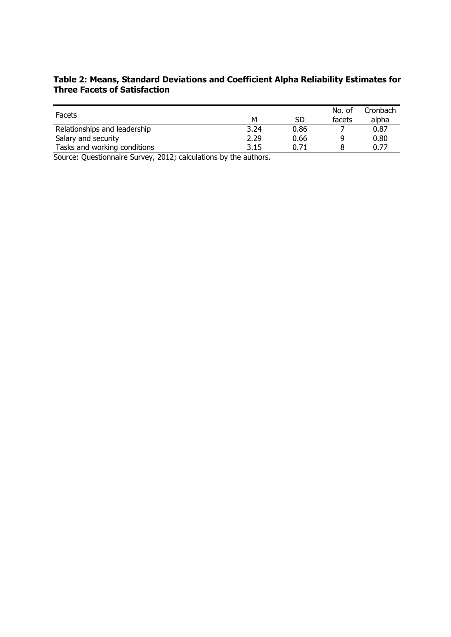## **Table 2: Means, Standard Deviations and Coefficient Alpha Reliability Estimates for Three Facets of Satisfaction**

| Facets                                             | м    | SD   | No. of<br>facets | Cronbach<br>alpha |
|----------------------------------------------------|------|------|------------------|-------------------|
| Relationships and leadership                       | 3.24 | 0.86 |                  | 0.87              |
| Salary and security                                | 2.29 | 0.66 | a                | 0.80              |
| Tasks and working conditions                       | 3.15 | 0.71 |                  | 0.77              |
| ----<br>.<br>$\sim$ $\sim$<br>$\sim$ $\sim$<br>. . | . .  |      |                  |                   |

Source: Questionnaire Survey, 2012; calculations by the authors.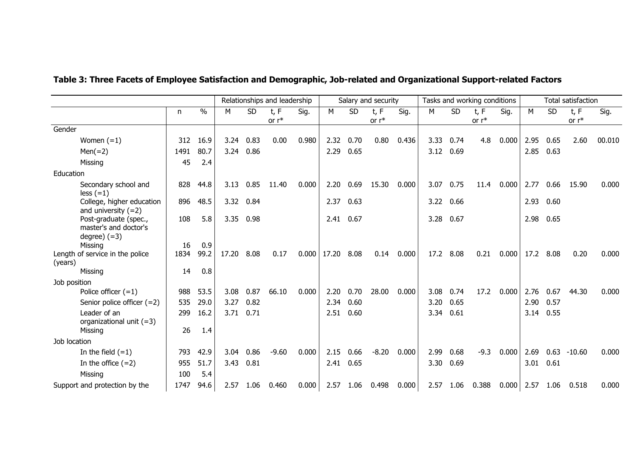|                                                                 |      |      |           |           | Relationships and leadership |       |       |           | Salary and security |       |      |           | Tasks and working conditions |       |      |      | Total satisfaction |        |
|-----------------------------------------------------------------|------|------|-----------|-----------|------------------------------|-------|-------|-----------|---------------------|-------|------|-----------|------------------------------|-------|------|------|--------------------|--------|
|                                                                 | n    | $\%$ | м         | SD        | t, F                         | Sig.  | М     | <b>SD</b> | t, F                | Sig.  | м    | <b>SD</b> | t, F                         | Sig.  | м    | SD   | t, F               | Sig.   |
| Gender                                                          |      |      |           |           | or $r^*$                     |       |       |           | or $r^*$            |       |      |           | or $r^*$                     |       |      |      | or $r^*$           |        |
|                                                                 |      |      |           |           |                              |       |       |           |                     |       |      |           |                              |       |      |      |                    |        |
| Women $(=1)$                                                    | 312  | 16.9 | 3.24      | 0.83      | 0.00                         | 0.980 | 2.32  | 0.70      | 0.80                | 0.436 | 3.33 | 0.74      | 4.8                          | 0.000 | 2.95 | 0.65 | 2.60               | 00.010 |
| $Men(=2)$                                                       | 1491 | 80.7 |           | 3.24 0.86 |                              |       | 2.29  | 0.65      |                     |       | 3.12 | 0.69      |                              |       | 2.85 | 0.63 |                    |        |
| Missing                                                         | 45   | 2.4  |           |           |                              |       |       |           |                     |       |      |           |                              |       |      |      |                    |        |
| Education                                                       |      |      |           |           |                              |       |       |           |                     |       |      |           |                              |       |      |      |                    |        |
| Secondary school and<br>$less (=1)$                             | 828  | 44.8 | 3.13      | 0.85      | 11.40                        | 0.000 | 2.20  | 0.69      | 15.30               | 0.000 | 3.07 | 0.75      | 11.4                         | 0.000 | 2.77 | 0.66 | 15.90              | 0.000  |
| College, higher education<br>and university $(=2)$              | 896  | 48.5 |           | 3.32 0.84 |                              |       | 2.37  | 0.63      |                     |       | 3.22 | 0.66      |                              |       | 2.93 | 0.60 |                    |        |
| Post-graduate (spec.,<br>master's and doctor's<br>degree $(=3)$ | 108  | 5.8  |           | 3.35 0.98 |                              |       | 2.41  | 0.67      |                     |       | 3.28 | 0.67      |                              |       | 2.98 | 0.65 |                    |        |
| Missing                                                         | 16   | 0.9  |           |           |                              |       |       |           |                     |       |      |           |                              |       |      |      |                    |        |
| Length of service in the police                                 | 1834 | 99.2 | 17.20     | 8.08      | 0.17                         | 0.000 | 17.20 | 8.08      | 0.14                | 0.000 | 17.2 | 8.08      | 0.21                         | 0.000 | 17.2 | 8.08 | 0.20               | 0.000  |
| (years)                                                         |      |      |           |           |                              |       |       |           |                     |       |      |           |                              |       |      |      |                    |        |
| Missing                                                         | 14   | 0.8  |           |           |                              |       |       |           |                     |       |      |           |                              |       |      |      |                    |        |
| Job position                                                    |      |      |           |           |                              |       |       |           |                     |       |      |           |                              |       |      |      |                    |        |
| Police officer $(=1)$                                           | 988  | 53.5 | 3.08      | 0.87      | 66.10                        | 0.000 | 2.20  | 0.70      | 28.00               | 0.000 | 3.08 | 0.74      | 17.2                         | 0.000 | 2.76 | 0.67 | 44.30              | 0.000  |
| Senior police officer $(=2)$                                    | 535  | 29.0 | 3.27      | 0.82      |                              |       | 2.34  | 0.60      |                     |       | 3.20 | 0.65      |                              |       | 2.90 | 0.57 |                    |        |
| Leader of an<br>organizational unit $(=3)$                      | 299  | 16.2 | 3.71 0.71 |           |                              |       | 2.51  | 0.60      |                     |       | 3.34 | 0.61      |                              |       | 3.14 | 0.55 |                    |        |
| Missing                                                         | 26   | 1.4  |           |           |                              |       |       |           |                     |       |      |           |                              |       |      |      |                    |        |
| Job location                                                    |      |      |           |           |                              |       |       |           |                     |       |      |           |                              |       |      |      |                    |        |
| In the field $(=1)$                                             | 793  | 42.9 | 3.04      | 0.86      | $-9.60$                      | 0.000 | 2.15  | 0.66      | $-8.20$             | 0.000 | 2.99 | 0.68      | $-9.3$                       | 0.000 | 2.69 | 0.63 | $-10.60$           | 0.000  |
| In the office $(=2)$                                            | 955  | 51.7 | 3.43      | 0.81      |                              |       | 2.41  | 0.65      |                     |       | 3.30 | 0.69      |                              |       | 3.01 | 0.61 |                    |        |
| Missing                                                         | 100  | 5.4  |           |           |                              |       |       |           |                     |       |      |           |                              |       |      |      |                    |        |
| Support and protection by the                                   | 1747 | 94.6 | 2.57      | 1.06      | 0.460                        | 0.000 | 2.57  | 1.06      | 0.498               | 0.000 | 2.57 | 1.06      | 0.388                        | 0.000 | 2.57 | 1.06 | 0.518              | 0.000  |

## **Table 3: Three Facets of Employee Satisfaction and Demographic, Job-related and Organizational Support-related Factors**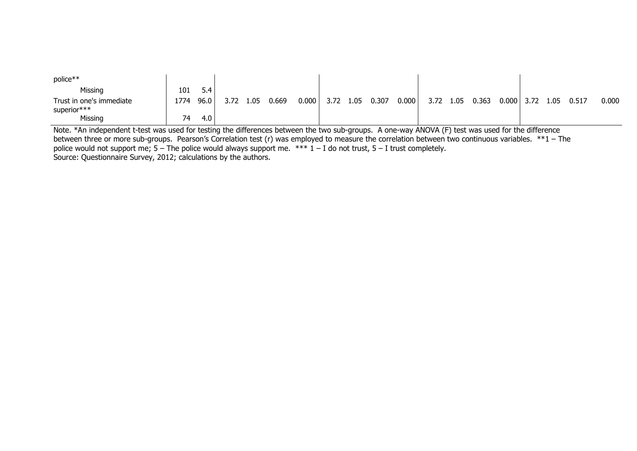| police**                                |      |      |      |      |       |       |      |      |       |       |      |      |       |       |      |      |       |       |
|-----------------------------------------|------|------|------|------|-------|-------|------|------|-------|-------|------|------|-------|-------|------|------|-------|-------|
| Missing                                 | 101  | 5.4  |      |      |       |       |      |      |       |       |      |      |       |       |      |      |       |       |
| Trust in one's immediate<br>superior*** | 1774 | 96.0 | 3.72 | 1.05 | 0.669 | 0.000 | 3.72 | 1.05 | 0.307 | 0.000 | 3.72 | 1.05 | 0.363 | 0.000 | 3.72 | 1.05 | 0.517 | 0.000 |
| Missing                                 | 74   | 4.0  |      |      |       |       |      |      |       |       |      |      |       |       |      |      |       |       |

Note. \*An independent t-test was used for testing the differences between the two sub-groups. A one-way ANOVA (F) test was used for the difference between three or more sub-groups. Pearson's Correlation test (r) was employed to measure the correlation between two continuous variables. \*\*1 – The police would not support me;  $5 -$  The police would always support me.  $***$  1 – I do not trust,  $5 -$  I trust completely. Source: Questionnaire Survey, 2012; calculations by the authors.